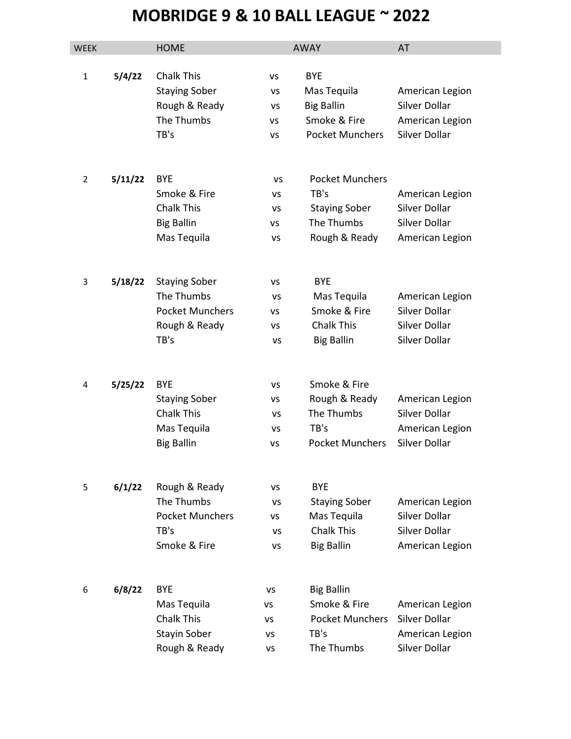## MOBRIDGE 9 & 10 BALL LEAGUE ~ 2022

| WEEK           |         | <b>HOME</b>                               |           | <b>AWAY</b>               | AT              |
|----------------|---------|-------------------------------------------|-----------|---------------------------|-----------------|
| $\mathbf{1}$   | 5/4/22  | <b>Chalk This</b><br><b>Staying Sober</b> | VS<br>vs  | <b>BYE</b><br>Mas Tequila | American Legion |
|                |         | Rough & Ready                             | <b>VS</b> | <b>Big Ballin</b>         | Silver Dollar   |
|                |         | The Thumbs                                | ٧S        | Smoke & Fire              | American Legion |
|                |         | TB's                                      | <b>VS</b> | <b>Pocket Munchers</b>    | Silver Dollar   |
|                |         |                                           |           |                           |                 |
| $\overline{2}$ | 5/11/22 | <b>BYE</b>                                | VS        | <b>Pocket Munchers</b>    |                 |
|                |         | Smoke & Fire                              | VS        | TB's                      | American Legion |
|                |         | <b>Chalk This</b>                         | VS        | <b>Staying Sober</b>      | Silver Dollar   |
|                |         | <b>Big Ballin</b>                         | <b>VS</b> | The Thumbs                | Silver Dollar   |
|                |         | Mas Tequila                               | <b>VS</b> | Rough & Ready             | American Legion |
| 3              | 5/18/22 | <b>Staying Sober</b>                      | VS        | <b>BYE</b>                |                 |
|                |         | The Thumbs                                | VS        | Mas Tequila               | American Legion |
|                |         | <b>Pocket Munchers</b>                    | <b>VS</b> | Smoke & Fire              | Silver Dollar   |
|                |         | Rough & Ready                             | VS        | <b>Chalk This</b>         | Silver Dollar   |
|                |         | TB's                                      | <b>VS</b> | <b>Big Ballin</b>         | Silver Dollar   |
|                |         |                                           |           |                           |                 |
| 4              | 5/25/22 | <b>BYE</b>                                | VS        | Smoke & Fire              |                 |
|                |         | <b>Staying Sober</b>                      | vs        | Rough & Ready             | American Legion |
|                |         | <b>Chalk This</b>                         | VS        | The Thumbs                | Silver Dollar   |
|                |         | Mas Tequila                               | <b>VS</b> | TB's                      | American Legion |
|                |         | <b>Big Ballin</b>                         | <b>VS</b> | <b>Pocket Munchers</b>    | Silver Dollar   |
| 5              | 6/1/22  | Rough & Ready                             | VS        | <b>BYE</b>                |                 |
|                |         | The Thumbs                                | VS        | <b>Staying Sober</b>      | American Legion |
|                |         | <b>Pocket Munchers</b>                    | ٧S        | Mas Tequila               | Silver Dollar   |
|                |         | TB's                                      | VS        | <b>Chalk This</b>         | Silver Dollar   |
|                |         | Smoke & Fire                              | <b>VS</b> | <b>Big Ballin</b>         | American Legion |
|                |         |                                           |           |                           |                 |
| 6              | 6/8/22  | <b>BYE</b>                                | vs        | <b>Big Ballin</b>         |                 |
|                |         | Mas Tequila<br>٧S                         |           | Smoke & Fire              | American Legion |
|                |         | <b>Chalk This</b>                         | ٧S        | <b>Pocket Munchers</b>    | Silver Dollar   |
|                |         | Stayin Sober                              | VS        | TB's                      | American Legion |
|                |         | Rough & Ready                             | ٧S        | The Thumbs                | Silver Dollar   |
|                |         |                                           |           |                           |                 |